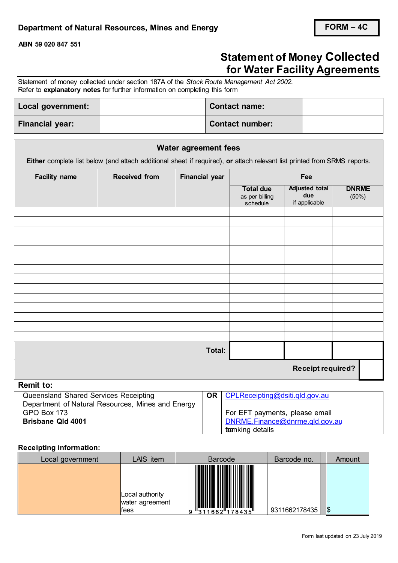**ABN 59 020 847 551**

## **Statement of Money Collected for Water Facility Agreements**

Statement of money collected under section 187A of the *Stock Route Management Act 2002.*  Refer to **explanatory notes** for further information on completing this form

| Local government:      | <b>Contact name:</b>   |  |
|------------------------|------------------------|--|
| <b>Financial year:</b> | <b>Contact number:</b> |  |

|                      |                                                                                                                          | <b>Water agreement fees</b> |                                                |                                               |                       |  |
|----------------------|--------------------------------------------------------------------------------------------------------------------------|-----------------------------|------------------------------------------------|-----------------------------------------------|-----------------------|--|
|                      | Either complete list below (and attach additional sheet if required), or attach relevant list printed from SRMS reports. |                             |                                                |                                               |                       |  |
| <b>Facility name</b> | <b>Received from</b>                                                                                                     | <b>Financial year</b>       |                                                | Fee                                           |                       |  |
|                      |                                                                                                                          |                             | <b>Total due</b><br>as per billing<br>schedule | <b>Adjusted total</b><br>due<br>if applicable | <b>DNRME</b><br>(50%) |  |
|                      |                                                                                                                          |                             |                                                |                                               |                       |  |
|                      |                                                                                                                          |                             |                                                |                                               |                       |  |
|                      |                                                                                                                          |                             |                                                |                                               |                       |  |
|                      |                                                                                                                          |                             |                                                |                                               |                       |  |
|                      |                                                                                                                          |                             |                                                |                                               |                       |  |
|                      |                                                                                                                          |                             |                                                |                                               |                       |  |
|                      |                                                                                                                          |                             |                                                |                                               |                       |  |
|                      |                                                                                                                          |                             |                                                |                                               |                       |  |
|                      |                                                                                                                          |                             |                                                |                                               |                       |  |
|                      |                                                                                                                          |                             |                                                |                                               |                       |  |
|                      |                                                                                                                          | Total:                      |                                                |                                               |                       |  |
|                      |                                                                                                                          |                             |                                                | <b>Receipt required?</b>                      |                       |  |
| <b>Remit to:</b>     |                                                                                                                          |                             |                                                |                                               |                       |  |

| Queensland Shared Services Receipting             | <b>OR</b>   CPLReceipting@dsiti.gld.gov.au |
|---------------------------------------------------|--------------------------------------------|
| Department of Natural Resources, Mines and Energy |                                            |
| GPO Box 173                                       | For EFT payments, please email             |
| <b>Brisbane Qld 4001</b>                          | DNRME.Finance@dnrme.qld.gov.au             |
|                                                   | <b>foanking details</b>                    |

## **Receipting information:**

| Local government | LAIS item                                  | <b>Barcode</b>             | Barcode no.   | Amount |
|------------------|--------------------------------------------|----------------------------|---------------|--------|
|                  | Local authority<br>water agreement<br>fees | ║║<br>"311662"178435"<br>9 | 9311662178435 | \$     |